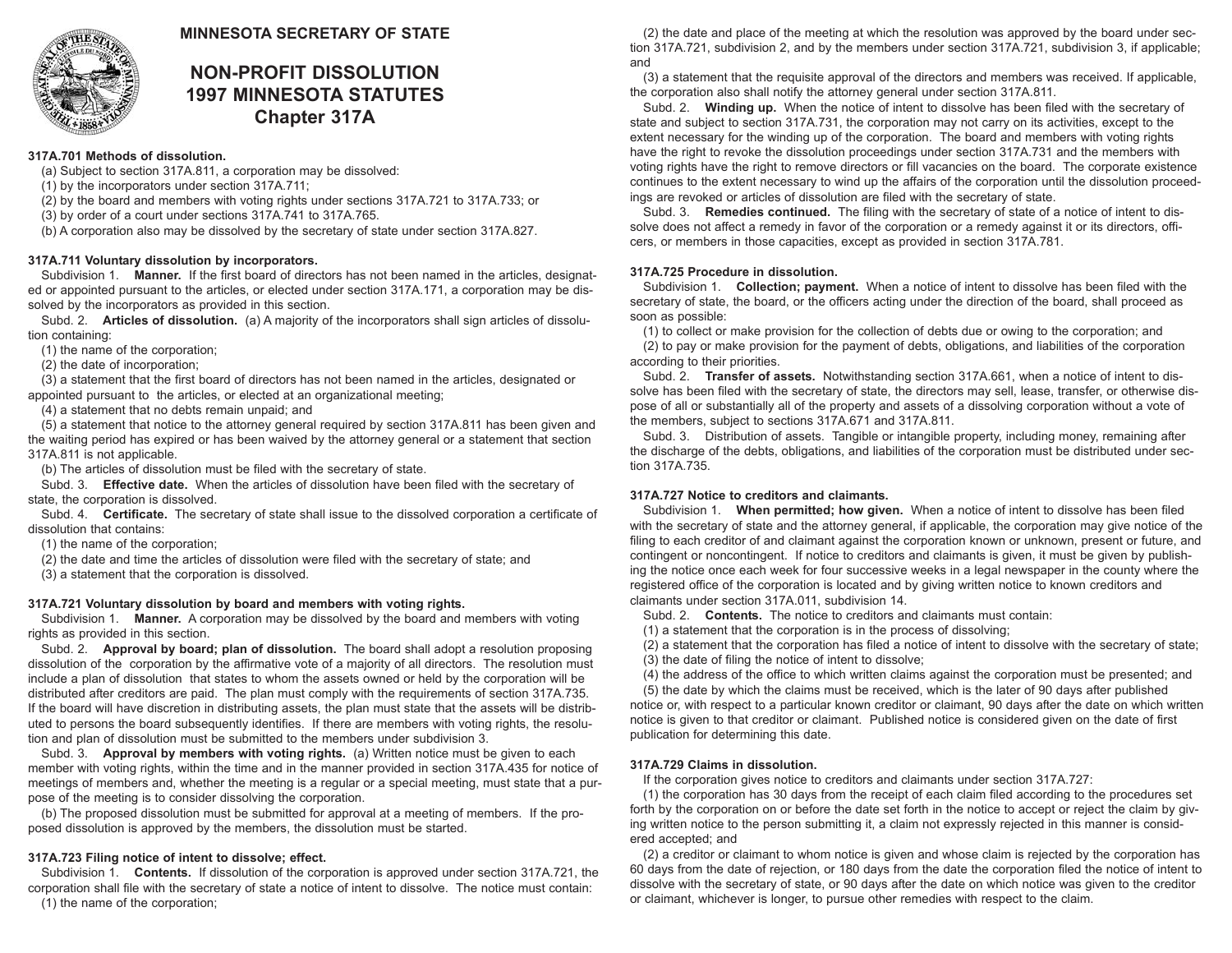

# **MINNESOTA SECRETARY OF STATE**

# **NON-PROFIT DISSOLUTION 1997 MINNESOTA STATUTES Chapter 317A**

## **317A.701 Methods of dissolution.**

- (a) Subject to section 317A.811, a corporation may be dissolved:
- (1) by the incorporators under section 317A.711;
- (2) by the board and members with voting rights under sections 317A.721 to 317A.733; or
- (3) by order of a court under sections 317A.741 to 317A.765.
- (b) A corporation also may be dissolved by the secretary of state under section 317A.827.

## **317A.711 Voluntary dissolution by incorporators.**

Subdivision 1. **Manner.** If the first board of directors has not been named in the articles, designated or appointed pursuant to the articles, or elected under section 317A.171, a corporation may be dissolved by the incorporators as provided in this section.

Subd. 2. **Articles of dissolution.** (a) A majority of the incorporators shall sign articles of dissolution containing:

(1) the name of the corporation;

(2) the date of incorporation;

(3) a statement that the first board of directors has not been named in the articles, designated or appointed pursuant to the articles, or elected at an organizational meeting;

(4) a statement that no debts remain unpaid; and

(5) a statement that notice to the attorney general required by section 317A.811 has been given and the waiting period has expired or has been waived by the attorney general or a statement that section 317A.811 is not applicable.

(b) The articles of dissolution must be filed with the secretary of state.

Subd. 3. **Effective date.** When the articles of dissolution have been filed with the secretary of state, the corporation is dissolved.

Subd. 4. **Certificate.** The secretary of state shall issue to the dissolved corporation a certificate of dissolution that contains:

(1) the name of the corporation;

(2) the date and time the articles of dissolution were filed with the secretary of state; and

(3) a statement that the corporation is dissolved.

## **317A.721 Voluntary dissolution by board and members with voting rights.**

Subdivision 1. **Manner.** A corporation may be dissolved by the board and members with voting rights as provided in this section.

Subd. 2. **Approval by board; plan of dissolution.** The board shall adopt a resolution proposing dissolution of the corporation by the affirmative vote of a majority of all directors. The resolution must include a plan of dissolution that states to whom the assets owned or held by the corporation will be distributed after creditors are paid. The plan must comply with the requirements of section 317A.735. If the board will have discretion in distributing assets, the plan must state that the assets will be distributed to persons the board subsequently identifies. If there are members with voting rights, the resolution and plan of dissolution must be submitted to the members under subdivision 3.

Subd. 3. **Approval by members with voting rights.** (a) Written notice must be given to each member with voting rights, within the time and in the manner provided in section 317A.435 for notice of meetings of members and, whether the meeting is a regular or a special meeting, must state that a purpose of the meeting is to consider dissolving the corporation.

(b) The proposed dissolution must be submitted for approval at a meeting of members. If the proposed dissolution is approved by the members, the dissolution must be started.

# **317A.723 Filing notice of intent to dissolve; effect.**

Subdivision 1. **Contents.** If dissolution of the corporation is approved under section 317A.721, the corporation shall file with the secretary of state a notice of intent to dissolve. The notice must contain: (1) the name of the corporation;

(2) the date and place of the meeting at which the resolution was approved by the board under section 317A.721, subdivision 2, and by the members under section 317A.721, subdivision 3, if applicable; and

(3) a statement that the requisite approval of the directors and members was received. If applicable, the corporation also shall notify the attorney general under section 317A.811.

Subd. 2. **Winding up.** When the notice of intent to dissolve has been filed with the secretary of state and subject to section 317A.731, the corporation may not carry on its activities, except to the extent necessary for the winding up of the corporation. The board and members with voting rights have the right to revoke the dissolution proceedings under section 317A.731 and the members with voting rights have the right to remove directors or fill vacancies on the board. The corporate existence continues to the extent necessary to wind up the affairs of the corporation until the dissolution proceedings are revoked or articles of dissolution are filed with the secretary of state.

Subd. 3. **Remedies continued.** The filing with the secretary of state of a notice of intent to dissolve does not affect a remedy in favor of the corporation or a remedy against it or its directors, officers, or members in those capacities, except as provided in section 317A.781.

## **317A.725 Procedure in dissolution.**

Subdivision 1. **Collection; payment.** When a notice of intent to dissolve has been filed with the secretary of state, the board, or the officers acting under the direction of the board, shall proceed as soon as possible:

(1) to collect or make provision for the collection of debts due or owing to the corporation; and (2) to pay or make provision for the payment of debts, obligations, and liabilities of the corporation according to their priorities.

Subd. 2. **Transfer of assets.** Notwithstanding section 317A.661, when a notice of intent to dissolve has been filed with the secretary of state, the directors may sell, lease, transfer, or otherwise dispose of all or substantially all of the property and assets of a dissolving corporation without a vote of the members, subject to sections 317A.671 and 317A.811.

Subd. 3. Distribution of assets. Tangible or intangible property, including money, remaining after the discharge of the debts, obligations, and liabilities of the corporation must be distributed under section 317A.735.

# **317A.727 Notice to creditors and claimants.**

Subdivision 1. **When permitted; how given.** When a notice of intent to dissolve has been filed with the secretary of state and the attorney general, if applicable, the corporation may give notice of the filing to each creditor of and claimant against the corporation known or unknown, present or future, and contingent or noncontingent. If notice to creditors and claimants is given, it must be given by publishing the notice once each week for four successive weeks in a legal newspaper in the county where the registered office of the corporation is located and by giving written notice to known creditors and claimants under section 317A.011, subdivision 14.

Subd. 2. **Contents.** The notice to creditors and claimants must contain:

(1) a statement that the corporation is in the process of dissolving;

(2) a statement that the corporation has filed a notice of intent to dissolve with the secretary of state; (3) the date of filing the notice of intent to dissolve;

(4) the address of the office to which written claims against the corporation must be presented; and

(5) the date by which the claims must be received, which is the later of 90 days after published

notice or, with respect to a particular known creditor or claimant, 90 days after the date on which written notice is given to that creditor or claimant. Published notice is considered given on the date of first publication for determining this date.

## **317A.729 Claims in dissolution.**

If the corporation gives notice to creditors and claimants under section 317A.727:

(1) the corporation has 30 days from the receipt of each claim filed according to the procedures set forth by the corporation on or before the date set forth in the notice to accept or reject the claim by giving written notice to the person submitting it, a claim not expressly rejected in this manner is considered accepted; and

(2) a creditor or claimant to whom notice is given and whose claim is rejected by the corporation has 60 days from the date of rejection, or 180 days from the date the corporation filed the notice of intent to dissolve with the secretary of state, or 90 days after the date on which notice was given to the creditor or claimant, whichever is longer, to pursue other remedies with respect to the claim.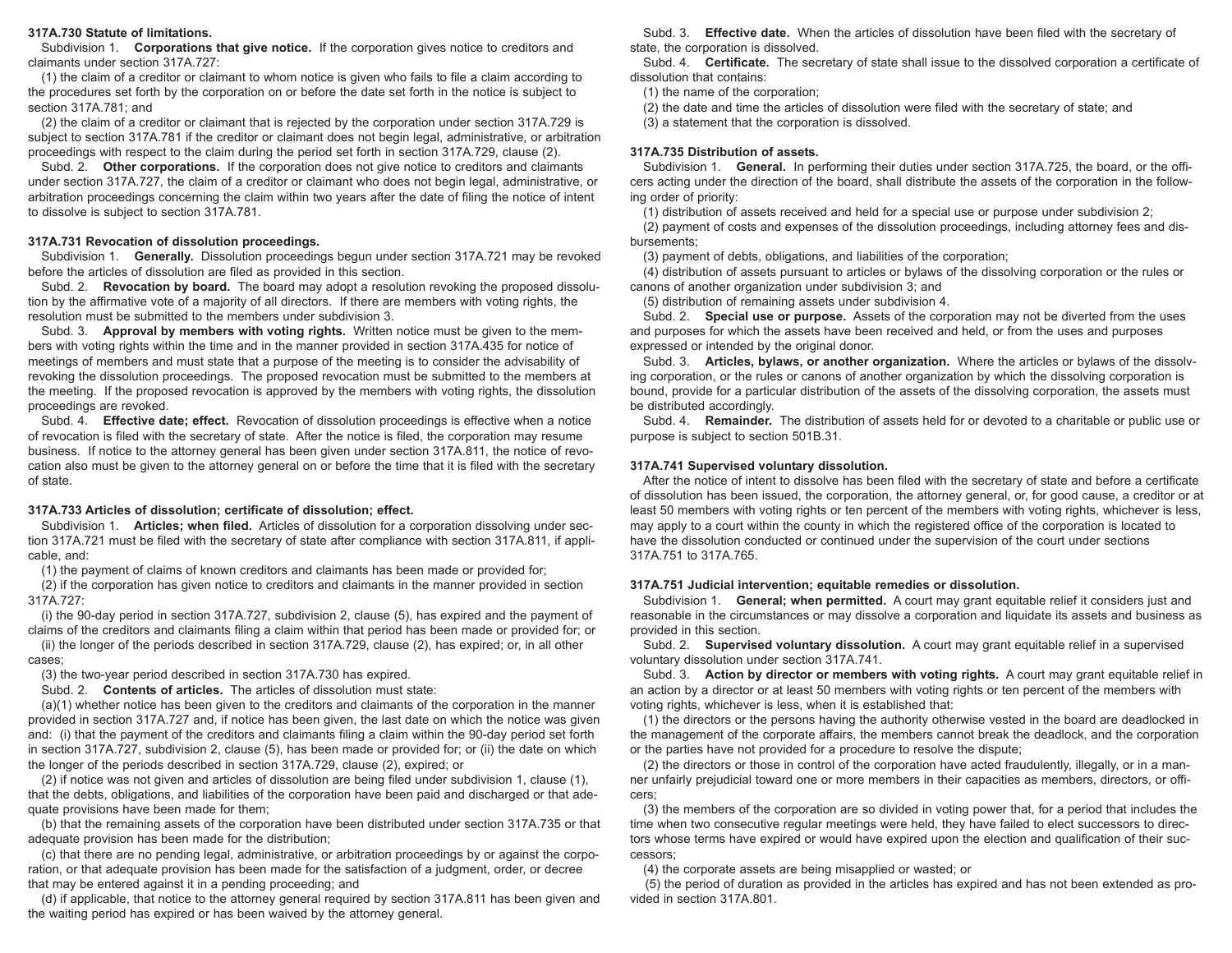#### **317A.730 Statute of limitations.**

Subdivision 1. **Corporations that give notice.** If the corporation gives notice to creditors and claimants under section 317A.727:

(1) the claim of a creditor or claimant to whom notice is given who fails to file a claim according to the procedures set forth by the corporation on or before the date set forth in the notice is subject to section 317A.781; and

(2) the claim of a creditor or claimant that is rejected by the corporation under section 317A.729 is subject to section 317A.781 if the creditor or claimant does not begin legal, administrative, or arbitration proceedings with respect to the claim during the period set forth in section 317A.729, clause (2).

Subd. 2. **Other corporations.** If the corporation does not give notice to creditors and claimants under section 317A.727, the claim of a creditor or claimant who does not begin legal, administrative, or arbitration proceedings concerning the claim within two years after the date of filing the notice of intent to dissolve is subject to section 317A.781.

#### **317A.731 Revocation of dissolution proceedings.**

Subdivision 1. **Generally.** Dissolution proceedings begun under section 317A.721 may be revoked before the articles of dissolution are filed as provided in this section.

Subd. 2. **Revocation by board.** The board may adopt a resolution revoking the proposed dissolution by the affirmative vote of a majority of all directors. If there are members with voting rights, the resolution must be submitted to the members under subdivision 3.

Subd. 3. **Approval by members with voting rights.** Written notice must be given to the members with voting rights within the time and in the manner provided in section 317A.435 for notice of meetings of members and must state that a purpose of the meeting is to consider the advisability of revoking the dissolution proceedings. The proposed revocation must be submitted to the members at the meeting. If the proposed revocation is approved by the members with voting rights, the dissolution proceedings are revoked.

Subd. 4. **Effective date; effect.** Revocation of dissolution proceedings is effective when a notice of revocation is filed with the secretary of state. After the notice is filed, the corporation may resume business. If notice to the attorney general has been given under section 317A.811, the notice of revocation also must be given to the attorney general on or before the time that it is filed with the secretary of state.

#### **317A.733 Articles of dissolution; certificate of dissolution; effect.**

Subdivision 1. **Articles; when filed.** Articles of dissolution for a corporation dissolving under section 317A.721 must be filed with the secretary of state after compliance with section 317A.811, if applicable, and:

(1) the payment of claims of known creditors and claimants has been made or provided for;

(2) if the corporation has given notice to creditors and claimants in the manner provided in section 317A.727:

(i) the 90-day period in section 317A.727, subdivision 2, clause (5), has expired and the payment of claims of the creditors and claimants filing a claim within that period has been made or provided for; or

(ii) the longer of the periods described in section 317A.729, clause (2), has expired; or, in all other cases;

(3) the two-year period described in section 317A.730 has expired.

Subd. 2. **Contents of articles.** The articles of dissolution must state:

(a)(1) whether notice has been given to the creditors and claimants of the corporation in the manner provided in section 317A.727 and, if notice has been given, the last date on which the notice was given and: (i) that the payment of the creditors and claimants filing a claim within the 90-day period set forth in section 317A.727, subdivision 2, clause (5), has been made or provided for; or (ii) the date on which the longer of the periods described in section 317A.729, clause (2), expired; or

(2) if notice was not given and articles of dissolution are being filed under subdivision 1, clause (1), that the debts, obligations, and liabilities of the corporation have been paid and discharged or that adequate provisions have been made for them;

(b) that the remaining assets of the corporation have been distributed under section 317A.735 or that adequate provision has been made for the distribution;

(c) that there are no pending legal, administrative, or arbitration proceedings by or against the corporation, or that adequate provision has been made for the satisfaction of a judgment, order, or decree that may be entered against it in a pending proceeding; and

(d) if applicable, that notice to the attorney general required by section 317A.811 has been given and the waiting period has expired or has been waived by the attorney general.

Subd. 3. **Effective date.** When the articles of dissolution have been filed with the secretary of state, the corporation is dissolved.

Subd. 4. **Certificate.** The secretary of state shall issue to the dissolved corporation a certificate of dissolution that contains:

(1) the name of the corporation;

(2) the date and time the articles of dissolution were filed with the secretary of state; and

(3) a statement that the corporation is dissolved.

#### **317A.735 Distribution of assets.**

Subdivision 1. **General.** In performing their duties under section 317A.725, the board, or the officers acting under the direction of the board, shall distribute the assets of the corporation in the following order of priority:

(1) distribution of assets received and held for a special use or purpose under subdivision 2;

(2) payment of costs and expenses of the dissolution proceedings, including attorney fees and disbursements;

(3) payment of debts, obligations, and liabilities of the corporation;

(4) distribution of assets pursuant to articles or bylaws of the dissolving corporation or the rules or canons of another organization under subdivision 3; and

(5) distribution of remaining assets under subdivision 4.

Subd. 2. **Special use or purpose.** Assets of the corporation may not be diverted from the uses and purposes for which the assets have been received and held, or from the uses and purposes expressed or intended by the original donor.

Subd. 3. **Articles, bylaws, or another organization.** Where the articles or bylaws of the dissolving corporation, or the rules or canons of another organization by which the dissolving corporation is bound, provide for a particular distribution of the assets of the dissolving corporation, the assets must be distributed accordingly.

Subd. 4. **Remainder.** The distribution of assets held for or devoted to a charitable or public use or purpose is subject to section 501B.31.

#### **317A.741 Supervised voluntary dissolution.**

After the notice of intent to dissolve has been filed with the secretary of state and before a certificate of dissolution has been issued, the corporation, the attorney general, or, for good cause, a creditor or at least 50 members with voting rights or ten percent of the members with voting rights, whichever is less, may apply to a court within the county in which the registered office of the corporation is located to have the dissolution conducted or continued under the supervision of the court under sections 317A.751 to 317A.765.

#### **317A.751 Judicial intervention; equitable remedies or dissolution.**

Subdivision 1. **General; when permitted.** A court may grant equitable relief it considers just and reasonable in the circumstances or may dissolve a corporation and liquidate its assets and business as provided in this section.

Subd. 2. **Supervised voluntary dissolution.** A court may grant equitable relief in a supervised voluntary dissolution under section 317A.741.

Subd. 3. **Action by director or members with voting rights.** A court may grant equitable relief in an action by a director or at least 50 members with voting rights or ten percent of the members with voting rights, whichever is less, when it is established that:

(1) the directors or the persons having the authority otherwise vested in the board are deadlocked in the management of the corporate affairs, the members cannot break the deadlock, and the corporation or the parties have not provided for a procedure to resolve the dispute;

(2) the directors or those in control of the corporation have acted fraudulently, illegally, or in a manner unfairly prejudicial toward one or more members in their capacities as members, directors, or officers;

(3) the members of the corporation are so divided in voting power that, for a period that includes the time when two consecutive regular meetings were held, they have failed to elect successors to directors whose terms have expired or would have expired upon the election and qualification of their successors;

(4) the corporate assets are being misapplied or wasted; or

(5) the period of duration as provided in the articles has expired and has not been extended as provided in section 317A.801.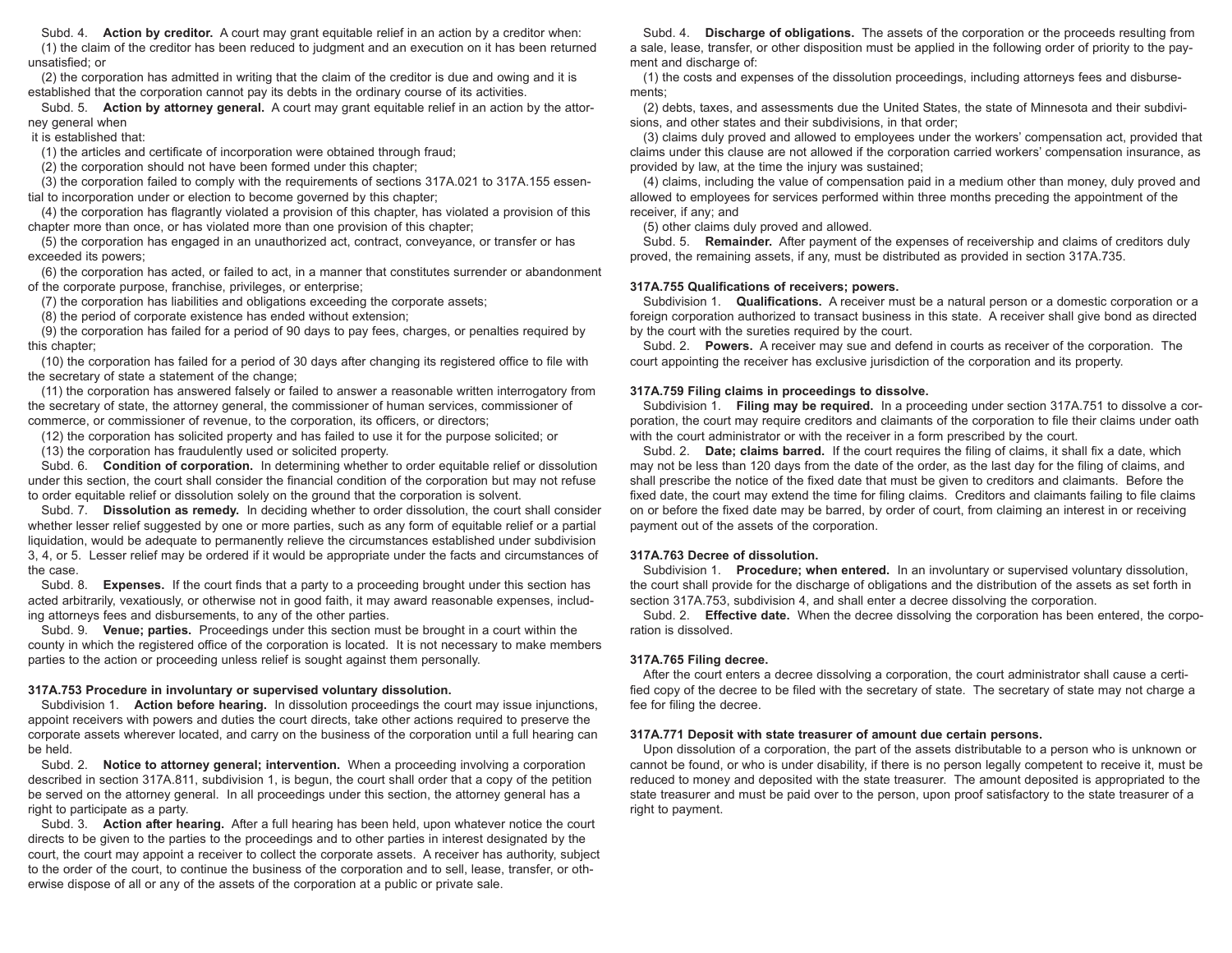Subd. 4. **Action by creditor.** A court may grant equitable relief in an action by a creditor when:

(1) the claim of the creditor has been reduced to judgment and an execution on it has been returned unsatisfied; or

(2) the corporation has admitted in writing that the claim of the creditor is due and owing and it is established that the corporation cannot pay its debts in the ordinary course of its activities.

Subd. 5. **Action by attorney general.** A court may grant equitable relief in an action by the attorney general when

it is established that:

(1) the articles and certificate of incorporation were obtained through fraud;

(2) the corporation should not have been formed under this chapter;

(3) the corporation failed to comply with the requirements of sections 317A.021 to 317A.155 essential to incorporation under or election to become governed by this chapter;

(4) the corporation has flagrantly violated a provision of this chapter, has violated a provision of this chapter more than once, or has violated more than one provision of this chapter;

(5) the corporation has engaged in an unauthorized act, contract, conveyance, or transfer or has exceeded its powers;

(6) the corporation has acted, or failed to act, in a manner that constitutes surrender or abandonment of the corporate purpose, franchise, privileges, or enterprise;

(7) the corporation has liabilities and obligations exceeding the corporate assets;

(8) the period of corporate existence has ended without extension;

(9) the corporation has failed for a period of 90 days to pay fees, charges, or penalties required by this chapter;

(10) the corporation has failed for a period of 30 days after changing its registered office to file with the secretary of state a statement of the change;

(11) the corporation has answered falsely or failed to answer a reasonable written interrogatory from the secretary of state, the attorney general, the commissioner of human services, commissioner of commerce, or commissioner of revenue, to the corporation, its officers, or directors;

(12) the corporation has solicited property and has failed to use it for the purpose solicited; or

(13) the corporation has fraudulently used or solicited property.

Subd. 6. **Condition of corporation.** In determining whether to order equitable relief or dissolution under this section, the court shall consider the financial condition of the corporation but may not refuse to order equitable relief or dissolution solely on the ground that the corporation is solvent.

Subd. 7. **Dissolution as remedy.** In deciding whether to order dissolution, the court shall consider whether lesser relief suggested by one or more parties, such as any form of equitable relief or a partial liquidation, would be adequate to permanently relieve the circumstances established under subdivision 3, 4, or 5. Lesser relief may be ordered if it would be appropriate under the facts and circumstances of the case.

Subd. 8. **Expenses.** If the court finds that a party to a proceeding brought under this section has acted arbitrarily, vexatiously, or otherwise not in good faith, it may award reasonable expenses, including attorneys fees and disbursements, to any of the other parties.

Subd. 9. **Venue; parties.** Proceedings under this section must be brought in a court within the county in which the registered office of the corporation is located. It is not necessary to make members parties to the action or proceeding unless relief is sought against them personally.

## **317A.753 Procedure in involuntary or supervised voluntary dissolution.**

Subdivision 1. **Action before hearing.** In dissolution proceedings the court may issue injunctions, appoint receivers with powers and duties the court directs, take other actions required to preserve the corporate assets wherever located, and carry on the business of the corporation until a full hearing can be held.

Subd. 2. **Notice to attorney general; intervention.** When a proceeding involving a corporation described in section 317A.811, subdivision 1, is begun, the court shall order that a copy of the petition be served on the attorney general. In all proceedings under this section, the attorney general has a right to participate as a party.

Subd. 3. **Action after hearing.** After a full hearing has been held, upon whatever notice the court directs to be given to the parties to the proceedings and to other parties in interest designated by the court, the court may appoint a receiver to collect the corporate assets. A receiver has authority, subject to the order of the court, to continue the business of the corporation and to sell, lease, transfer, or otherwise dispose of all or any of the assets of the corporation at a public or private sale.

Subd. 4. **Discharge of obligations.** The assets of the corporation or the proceeds resulting from a sale, lease, transfer, or other disposition must be applied in the following order of priority to the payment and discharge of:

(1) the costs and expenses of the dissolution proceedings, including attorneys fees and disbursements;

(2) debts, taxes, and assessments due the United States, the state of Minnesota and their subdivisions, and other states and their subdivisions, in that order;

(3) claims duly proved and allowed to employees under the workers' compensation act, provided that claims under this clause are not allowed if the corporation carried workers' compensation insurance, as provided by law, at the time the injury was sustained;

(4) claims, including the value of compensation paid in a medium other than money, duly proved and allowed to employees for services performed within three months preceding the appointment of the receiver, if any; and

(5) other claims duly proved and allowed.

Subd. 5. **Remainder.** After payment of the expenses of receivership and claims of creditors duly proved, the remaining assets, if any, must be distributed as provided in section 317A.735.

#### **317A.755 Qualifications of receivers; powers.**

Subdivision 1. **Qualifications.** A receiver must be a natural person or a domestic corporation or a foreign corporation authorized to transact business in this state. A receiver shall give bond as directed by the court with the sureties required by the court.

Subd. 2. **Powers.** A receiver may sue and defend in courts as receiver of the corporation. The court appointing the receiver has exclusive jurisdiction of the corporation and its property.

#### **317A.759 Filing claims in proceedings to dissolve.**

Subdivision 1. **Filing may be required.** In a proceeding under section 317A.751 to dissolve a corporation, the court may require creditors and claimants of the corporation to file their claims under oath with the court administrator or with the receiver in a form prescribed by the court.

Subd. 2. **Date; claims barred.** If the court requires the filing of claims, it shall fix a date, which may not be less than 120 days from the date of the order, as the last day for the filing of claims, and shall prescribe the notice of the fixed date that must be given to creditors and claimants. Before the fixed date, the court may extend the time for filing claims. Creditors and claimants failing to file claims on or before the fixed date may be barred, by order of court, from claiming an interest in or receiving payment out of the assets of the corporation.

## **317A.763 Decree of dissolution.**

Subdivision 1. **Procedure; when entered.** In an involuntary or supervised voluntary dissolution, the court shall provide for the discharge of obligations and the distribution of the assets as set forth in section 317A.753, subdivision 4, and shall enter a decree dissolving the corporation.

Subd. 2. **Effective date.** When the decree dissolving the corporation has been entered, the corporation is dissolved.

## **317A.765 Filing decree.**

After the court enters a decree dissolving a corporation, the court administrator shall cause a certified copy of the decree to be filed with the secretary of state. The secretary of state may not charge a fee for filing the decree.

#### **317A.771 Deposit with state treasurer of amount due certain persons.**

Upon dissolution of a corporation, the part of the assets distributable to a person who is unknown or cannot be found, or who is under disability, if there is no person legally competent to receive it, must be reduced to money and deposited with the state treasurer. The amount deposited is appropriated to the state treasurer and must be paid over to the person, upon proof satisfactory to the state treasurer of a right to payment.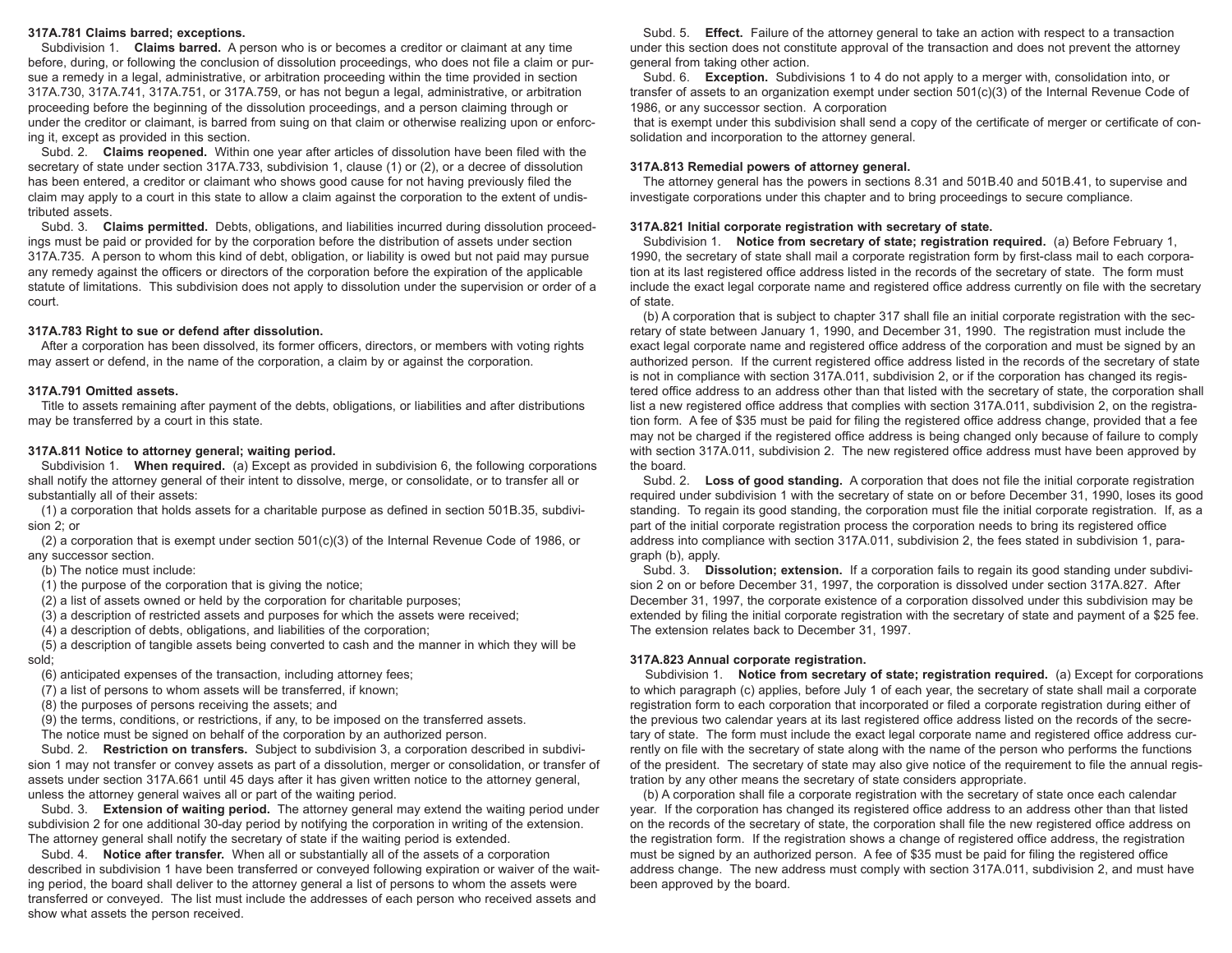## **317A.781 Claims barred; exceptions.**

Subdivision 1. **Claims barred.** A person who is or becomes a creditor or claimant at any time before, during, or following the conclusion of dissolution proceedings, who does not file a claim or pursue a remedy in a legal, administrative, or arbitration proceeding within the time provided in section 317A.730, 317A.741, 317A.751, or 317A.759, or has not begun a legal, administrative, or arbitration proceeding before the beginning of the dissolution proceedings, and a person claiming through or under the creditor or claimant, is barred from suing on that claim or otherwise realizing upon or enforcing it, except as provided in this section.

Subd. 2. **Claims reopened.** Within one year after articles of dissolution have been filed with the secretary of state under section 317A.733, subdivision 1, clause (1) or (2), or a decree of dissolution has been entered, a creditor or claimant who shows good cause for not having previously filed the claim may apply to a court in this state to allow a claim against the corporation to the extent of undistributed assets.

Subd. 3. **Claims permitted.** Debts, obligations, and liabilities incurred during dissolution proceedings must be paid or provided for by the corporation before the distribution of assets under section 317A.735. A person to whom this kind of debt, obligation, or liability is owed but not paid may pursue any remedy against the officers or directors of the corporation before the expiration of the applicable statute of limitations. This subdivision does not apply to dissolution under the supervision or order of a court.

#### **317A.783 Right to sue or defend after dissolution.**

After a corporation has been dissolved, its former officers, directors, or members with voting rights may assert or defend, in the name of the corporation, a claim by or against the corporation.

#### **317A.791 Omitted assets.**

Title to assets remaining after payment of the debts, obligations, or liabilities and after distributions may be transferred by a court in this state.

#### **317A.811 Notice to attorney general; waiting period.**

Subdivision 1. **When required.** (a) Except as provided in subdivision 6, the following corporations shall notify the attorney general of their intent to dissolve, merge, or consolidate, or to transfer all or substantially all of their assets:

(1) a corporation that holds assets for a charitable purpose as defined in section 501B.35, subdivision 2; or

(2) a corporation that is exempt under section 501(c)(3) of the Internal Revenue Code of 1986, or any successor section.

(b) The notice must include:

(1) the purpose of the corporation that is giving the notice;

(2) a list of assets owned or held by the corporation for charitable purposes;

(3) a description of restricted assets and purposes for which the assets were received;

(4) a description of debts, obligations, and liabilities of the corporation;

(5) a description of tangible assets being converted to cash and the manner in which they will be sold;

(6) anticipated expenses of the transaction, including attorney fees;

(7) a list of persons to whom assets will be transferred, if known;

(8) the purposes of persons receiving the assets; and

(9) the terms, conditions, or restrictions, if any, to be imposed on the transferred assets.

The notice must be signed on behalf of the corporation by an authorized person.

Subd. 2. **Restriction on transfers.** Subject to subdivision 3, a corporation described in subdivision 1 may not transfer or convey assets as part of a dissolution, merger or consolidation, or transfer of assets under section 317A.661 until 45 days after it has given written notice to the attorney general, unless the attorney general waives all or part of the waiting period.

Subd. 3. **Extension of waiting period.** The attorney general may extend the waiting period under subdivision 2 for one additional 30-day period by notifying the corporation in writing of the extension. The attorney general shall notify the secretary of state if the waiting period is extended.

Subd. 4. **Notice after transfer.** When all or substantially all of the assets of a corporation described in subdivision 1 have been transferred or conveyed following expiration or waiver of the waiting period, the board shall deliver to the attorney general a list of persons to whom the assets were transferred or conveyed. The list must include the addresses of each person who received assets and show what assets the person received.

Subd. 5. **Effect.** Failure of the attorney general to take an action with respect to a transaction under this section does not constitute approval of the transaction and does not prevent the attorney general from taking other action.

Subd. 6. **Exception.** Subdivisions 1 to 4 do not apply to a merger with, consolidation into, or transfer of assets to an organization exempt under section 501(c)(3) of the Internal Revenue Code of 1986, or any successor section. A corporation

that is exempt under this subdivision shall send a copy of the certificate of merger or certificate of consolidation and incorporation to the attorney general.

## **317A.813 Remedial powers of attorney general.**

The attorney general has the powers in sections 8.31 and 501B.40 and 501B.41, to supervise and investigate corporations under this chapter and to bring proceedings to secure compliance.

# **317A.821 Initial corporate registration with secretary of state.**

Subdivision 1. **Notice from secretary of state; registration required.** (a) Before February 1, 1990, the secretary of state shall mail a corporate registration form by first-class mail to each corporation at its last registered office address listed in the records of the secretary of state. The form must include the exact legal corporate name and registered office address currently on file with the secretary of state.

(b) A corporation that is subject to chapter 317 shall file an initial corporate registration with the secretary of state between January 1, 1990, and December 31, 1990. The registration must include the exact legal corporate name and registered office address of the corporation and must be signed by an authorized person. If the current registered office address listed in the records of the secretary of state is not in compliance with section 317A.011, subdivision 2, or if the corporation has changed its registered office address to an address other than that listed with the secretary of state, the corporation shall list a new registered office address that complies with section 317A.011, subdivision 2, on the registration form. A fee of \$35 must be paid for filing the registered office address change, provided that a fee may not be charged if the registered office address is being changed only because of failure to comply with section 317A.011, subdivision 2. The new registered office address must have been approved by the board.

Subd. 2. **Loss of good standing.** A corporation that does not file the initial corporate registration required under subdivision 1 with the secretary of state on or before December 31, 1990, loses its good standing. To regain its good standing, the corporation must file the initial corporate registration. If, as a part of the initial corporate registration process the corporation needs to bring its registered office address into compliance with section 317A.011, subdivision 2, the fees stated in subdivision 1, paragraph (b), apply.

Subd. 3. **Dissolution; extension.** If a corporation fails to regain its good standing under subdivision 2 on or before December 31, 1997, the corporation is dissolved under section 317A.827. After December 31, 1997, the corporate existence of a corporation dissolved under this subdivision may be extended by filing the initial corporate registration with the secretary of state and payment of a \$25 fee. The extension relates back to December 31, 1997.

## **317A.823 Annual corporate registration.**

Subdivision 1. **Notice from secretary of state; registration required.** (a) Except for corporations to which paragraph (c) applies, before July 1 of each year, the secretary of state shall mail a corporate registration form to each corporation that incorporated or filed a corporate registration during either of the previous two calendar years at its last registered office address listed on the records of the secretary of state. The form must include the exact legal corporate name and registered office address currently on file with the secretary of state along with the name of the person who performs the functions of the president. The secretary of state may also give notice of the requirement to file the annual registration by any other means the secretary of state considers appropriate.

(b) A corporation shall file a corporate registration with the secretary of state once each calendar year. If the corporation has changed its registered office address to an address other than that listed on the records of the secretary of state, the corporation shall file the new registered office address on the registration form. If the registration shows a change of registered office address, the registration must be signed by an authorized person. A fee of \$35 must be paid for filing the registered office address change. The new address must comply with section 317A.011, subdivision 2, and must have been approved by the board.